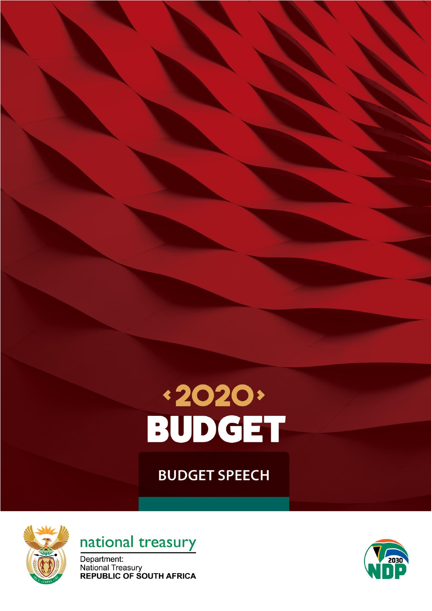

**BUDGET SPEECH** 





Department: National Treasury<br>REPUBLIC OF SOUTH AFRICA

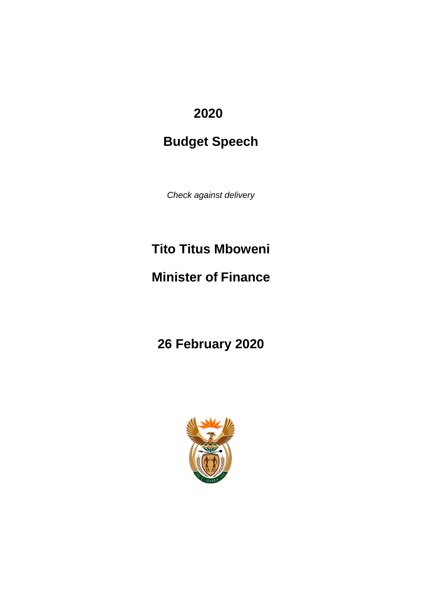# **2020**

# **Budget Speech**

*Check against delivery*

# **Tito Titus Mboweni**

# **Minister of Finance**

**26 February 2020**

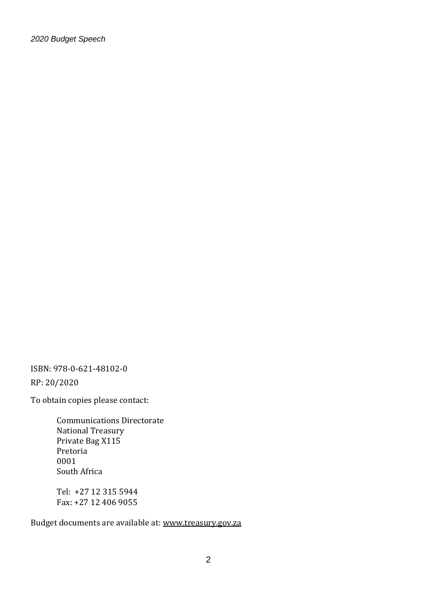ISBN: 978-0-621-48102-0

RP: 20/2020

To obtain copies please contact:

Communications Directorate National Treasury Private Bag X115 Pretoria 0001 South Africa

Tel: +27 12 315 5944 Fax: +27 12 406 9055

Budget documents are available at: [www.treasury.gov.za](http://www.treasury.gov.za/)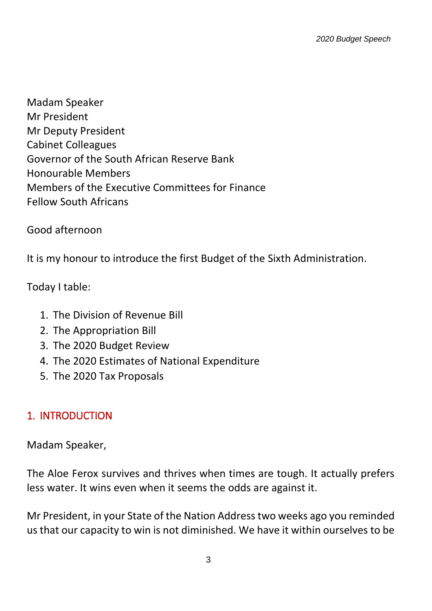Madam Speaker Mr President Mr Deputy President Cabinet Colleagues Governor of the South African Reserve Bank Honourable Members Members of the Executive Committees for Finance Fellow South Africans

Good afternoon

It is my honour to introduce the first Budget of the Sixth Administration.

Today I table:

- 1. The Division of Revenue Bill
- 2. The Appropriation Bill
- 3. The 2020 Budget Review
- 4. The 2020 Estimates of National Expenditure
- 5. The 2020 Tax Proposals

#### 1. INTRODUCTION

Madam Speaker,

The Aloe Ferox survives and thrives when times are tough. It actually prefers less water. It wins even when it seems the odds are against it.

Mr President, in your State of the Nation Address two weeks ago you reminded us that our capacity to win is not diminished. We have it within ourselves to be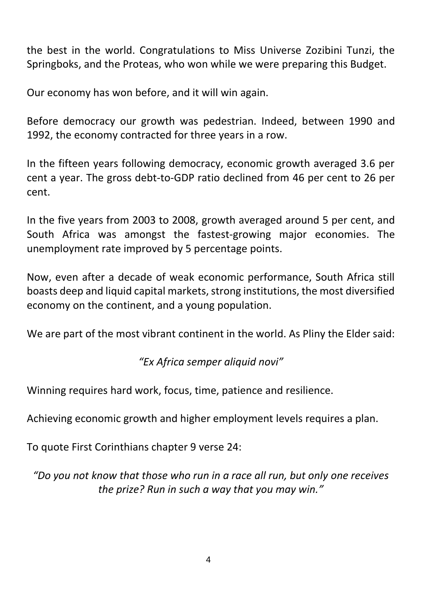the best in the world. Congratulations to Miss Universe Zozibini Tunzi, the Springboks, and the Proteas, who won while we were preparing this Budget.

Our economy has won before, and it will win again.

Before democracy our growth was pedestrian. Indeed, between 1990 and 1992, the economy contracted for three years in a row.

In the fifteen years following democracy, economic growth averaged 3.6 per cent a year. The gross debt-to-GDP ratio declined from 46 per cent to 26 per cent.

In the five years from 2003 to 2008, growth averaged around 5 per cent, and South Africa was amongst the fastest-growing major economies. The unemployment rate improved by 5 percentage points.

Now, even after a decade of weak economic performance, South Africa still boasts deep and liquid capital markets, strong institutions, the most diversified economy on the continent, and a young population.

We are part of the most vibrant continent in the world. As Pliny the Elder said:

*"Ex Africa semper aliquid novi"*

Winning requires hard work, focus, time, patience and resilience.

Achieving economic growth and higher employment levels requires a plan.

To quote First Corinthians chapter 9 verse 24:

*"Do you not know that those who run in a race all run, but only one receives the prize? Run in such a way that you may win."*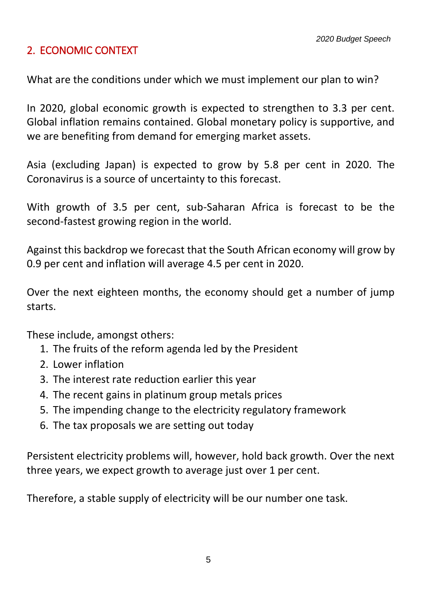# 2. ECONOMIC CONTEXT

What are the conditions under which we must implement our plan to win?

In 2020, global economic growth is expected to strengthen to 3.3 per cent. Global inflation remains contained. Global monetary policy is supportive, and we are benefiting from demand for emerging market assets.

Asia (excluding Japan) is expected to grow by 5.8 per cent in 2020. The Coronavirus is a source of uncertainty to this forecast.

With growth of 3.5 per cent, sub-Saharan Africa is forecast to be the second-fastest growing region in the world.

Against this backdrop we forecast that the South African economy will grow by 0.9 per cent and inflation will average 4.5 per cent in 2020.

Over the next eighteen months, the economy should get a number of jump starts.

These include, amongst others:

- 1. The fruits of the reform agenda led by the President
- 2. Lower inflation
- 3. The interest rate reduction earlier this year
- 4. The recent gains in platinum group metals prices
- 5. The impending change to the electricity regulatory framework
- 6. The tax proposals we are setting out today

Persistent electricity problems will, however, hold back growth. Over the next three years, we expect growth to average just over 1 per cent.

Therefore, a stable supply of electricity will be our number one task.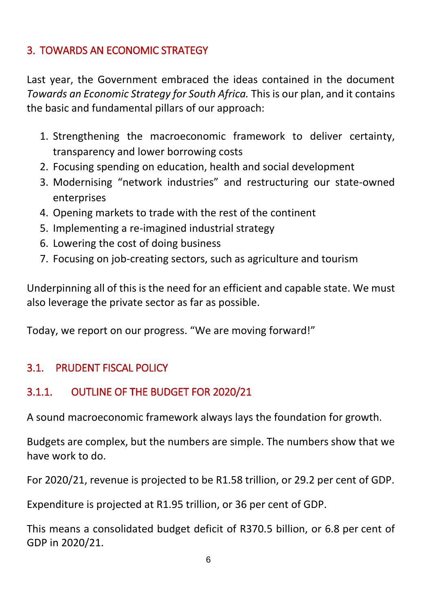# 3. TOWARDS AN ECONOMIC STRATEGY

Last year, the Government embraced the ideas contained in the document *Towards an Economic Strategy for South Africa.* This is our plan, and it contains the basic and fundamental pillars of our approach:

- 1. Strengthening the macroeconomic framework to deliver certainty, transparency and lower borrowing costs
- 2. Focusing spending on education, health and social development
- 3. Modernising "network industries" and restructuring our state-owned enterprises
- 4. Opening markets to trade with the rest of the continent
- 5. Implementing a re-imagined industrial strategy
- 6. Lowering the cost of doing business
- 7. Focusing on job-creating sectors, such as agriculture and tourism

Underpinning all of this is the need for an efficient and capable state. We must also leverage the private sector as far as possible.

Today, we report on our progress. "We are moving forward!"

# 3.1. PRUDENT FISCAL POLICY

# 3.1.1. OUTLINE OF THE BUDGET FOR 2020/21

A sound macroeconomic framework always lays the foundation for growth.

Budgets are complex, but the numbers are simple. The numbers show that we have work to do.

For 2020/21, revenue is projected to be R1.58 trillion, or 29.2 per cent of GDP.

Expenditure is projected at R1.95 trillion, or 36 per cent of GDP.

This means a consolidated budget deficit of R370.5 billion, or 6.8 per cent of GDP in 2020/21.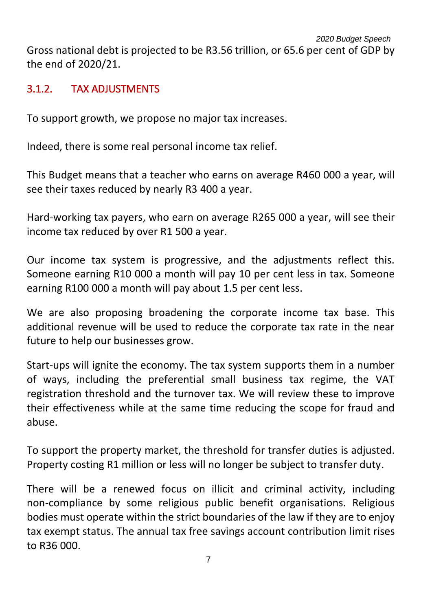# 3.1.2. TAX ADJUSTMENTS

To support growth, we propose no major tax increases.

Indeed, there is some real personal income tax relief.

This Budget means that a teacher who earns on average R460 000 a year, will see their taxes reduced by nearly R3 400 a year.

Hard-working tax payers, who earn on average R265 000 a year, will see their income tax reduced by over R1 500 a year.

Our income tax system is progressive, and the adjustments reflect this. Someone earning R10 000 a month will pay 10 per cent less in tax. Someone earning R100 000 a month will pay about 1.5 per cent less.

We are also proposing broadening the corporate income tax base. This additional revenue will be used to reduce the corporate tax rate in the near future to help our businesses grow.

Start-ups will ignite the economy. The tax system supports them in a number of ways, including the preferential small business tax regime, the VAT registration threshold and the turnover tax. We will review these to improve their effectiveness while at the same time reducing the scope for fraud and abuse.

To support the property market, the threshold for transfer duties is adjusted. Property costing R1 million or less will no longer be subject to transfer duty.

There will be a renewed focus on illicit and criminal activity, including non-compliance by some religious public benefit organisations. Religious bodies must operate within the strict boundaries of the law if they are to enjoy tax exempt status. The annual tax free savings account contribution limit rises to R36 000.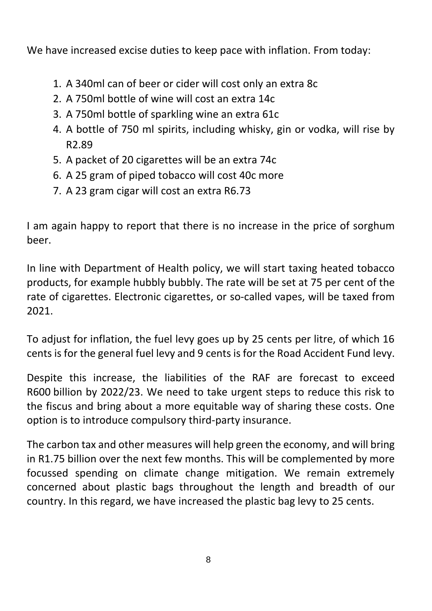We have increased excise duties to keep pace with inflation. From today:

- 1. A 340ml can of beer or cider will cost only an extra 8c
- 2. A 750ml bottle of wine will cost an extra 14c
- 3. A 750ml bottle of sparkling wine an extra 61c
- 4. A bottle of 750 ml spirits, including whisky, gin or vodka, will rise by R2.89
- 5. A packet of 20 cigarettes will be an extra 74c
- 6. A 25 gram of piped tobacco will cost 40c more
- 7. A 23 gram cigar will cost an extra R6.73

I am again happy to report that there is no increase in the price of sorghum beer.

In line with Department of Health policy, we will start taxing heated tobacco products, for example hubbly bubbly. The rate will be set at 75 per cent of the rate of cigarettes. Electronic cigarettes, or so-called vapes, will be taxed from 2021.

To adjust for inflation, the fuel levy goes up by 25 cents per litre, of which 16 cents is for the general fuel levy and 9 cents is for the Road Accident Fund levy.

Despite this increase, the liabilities of the RAF are forecast to exceed R600 billion by 2022/23. We need to take urgent steps to reduce this risk to the fiscus and bring about a more equitable way of sharing these costs. One option is to introduce compulsory third-party insurance.

The carbon tax and other measures will help green the economy, and will bring in R1.75 billion over the next few months. This will be complemented by more focussed spending on climate change mitigation. We remain extremely concerned about plastic bags throughout the length and breadth of our country. In this regard, we have increased the plastic bag levy to 25 cents.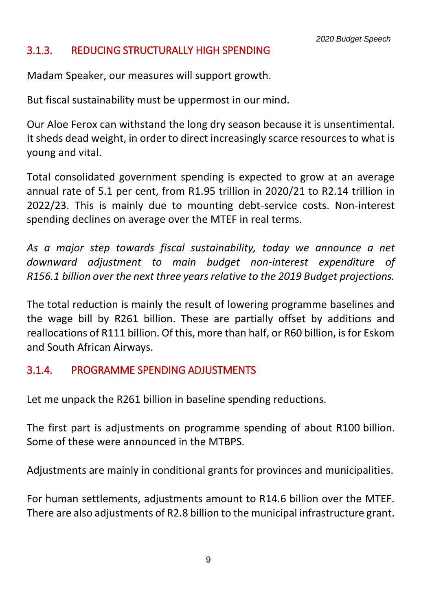#### 3.1.3. REDUCING STRUCTURALLY HIGH SPENDING

Madam Speaker, our measures will support growth.

But fiscal sustainability must be uppermost in our mind.

Our Aloe Ferox can withstand the long dry season because it is unsentimental. It sheds dead weight, in order to direct increasingly scarce resources to what is young and vital.

Total consolidated government spending is expected to grow at an average annual rate of 5.1 per cent, from R1.95 trillion in 2020/21 to R2.14 trillion in 2022/23. This is mainly due to mounting debt-service costs. Non-interest spending declines on average over the MTEF in real terms.

*As a major step towards fiscal sustainability, today we announce a net downward adjustment to main budget non-interest expenditure of R156.1 billion over the next three years relative to the 2019 Budget projections.* 

The total reduction is mainly the result of lowering programme baselines and the wage bill by R261 billion. These are partially offset by additions and reallocations of R111 billion. Of this, more than half, or R60 billion, is for Eskom and South African Airways.

#### 3.1.4. PROGRAMME SPENDING ADJUSTMENTS

Let me unpack the R261 billion in baseline spending reductions.

The first part is adjustments on programme spending of about R100 billion. Some of these were announced in the MTBPS.

Adjustments are mainly in conditional grants for provinces and municipalities.

For human settlements, adjustments amount to R14.6 billion over the MTEF. There are also adjustments of R2.8 billion to the municipal infrastructure grant.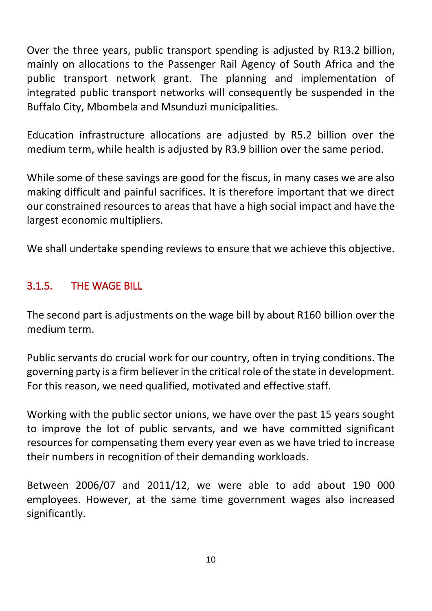Over the three years, public transport spending is adjusted by R13.2 billion, mainly on allocations to the Passenger Rail Agency of South Africa and the public transport network grant. The planning and implementation of integrated public transport networks will consequently be suspended in the Buffalo City, Mbombela and Msunduzi municipalities.

Education infrastructure allocations are adjusted by R5.2 billion over the medium term, while health is adjusted by R3.9 billion over the same period.

While some of these savings are good for the fiscus, in many cases we are also making difficult and painful sacrifices. It is therefore important that we direct our constrained resources to areas that have a high social impact and have the largest economic multipliers.

We shall undertake spending reviews to ensure that we achieve this objective.

# 3.1.5. THE WAGE BILL

The second part is adjustments on the wage bill by about R160 billion over the medium term.

Public servants do crucial work for our country, often in trying conditions. The governing party is a firm believer in the critical role of the state in development. For this reason, we need qualified, motivated and effective staff.

Working with the public sector unions, we have over the past 15 years sought to improve the lot of public servants, and we have committed significant resources for compensating them every year even as we have tried to increase their numbers in recognition of their demanding workloads.

Between 2006/07 and 2011/12, we were able to add about 190 000 employees. However, at the same time government wages also increased significantly.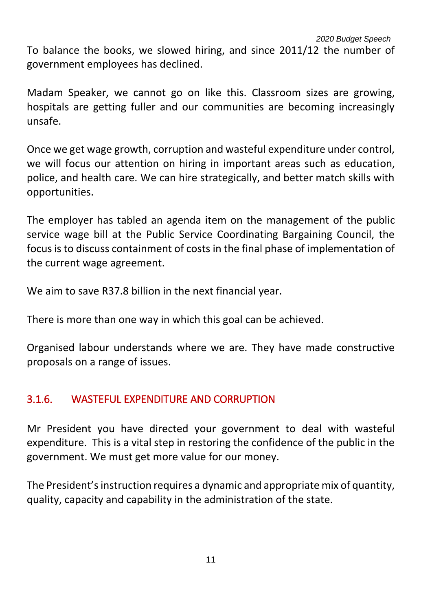*2020 Budget Speech* To balance the books, we slowed hiring, and since 2011/12 the number of government employees has declined.

Madam Speaker, we cannot go on like this. Classroom sizes are growing, hospitals are getting fuller and our communities are becoming increasingly unsafe.

Once we get wage growth, corruption and wasteful expenditure under control, we will focus our attention on hiring in important areas such as education, police, and health care. We can hire strategically, and better match skills with opportunities.

The employer has tabled an agenda item on the management of the public service wage bill at the Public Service Coordinating Bargaining Council, the focus is to discuss containment of costs in the final phase of implementation of the current wage agreement.

We aim to save R37.8 billion in the next financial year.

There is more than one way in which this goal can be achieved.

Organised labour understands where we are. They have made constructive proposals on a range of issues.

# 3.1.6. WASTEFUL EXPENDITURE AND CORRUPTION

Mr President you have directed your government to deal with wasteful expenditure. This is a vital step in restoring the confidence of the public in the government. We must get more value for our money.

The President's instruction requires a dynamic and appropriate mix of quantity, quality, capacity and capability in the administration of the state.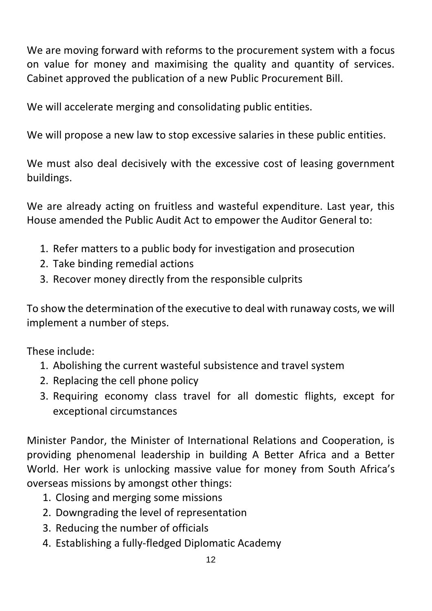We are moving forward with reforms to the procurement system with a focus on value for money and maximising the quality and quantity of services. Cabinet approved the publication of a new Public Procurement Bill.

We will accelerate merging and consolidating public entities.

We will propose a new law to stop excessive salaries in these public entities.

We must also deal decisively with the excessive cost of leasing government buildings.

We are already acting on fruitless and wasteful expenditure. Last year, this House amended the Public Audit Act to empower the Auditor General to:

- 1. Refer matters to a public body for investigation and prosecution
- 2. Take binding remedial actions
- 3. Recover money directly from the responsible culprits

To show the determination of the executive to deal with runaway costs, we will implement a number of steps.

These include:

- 1. Abolishing the current wasteful subsistence and travel system
- 2. Replacing the cell phone policy
- 3. Requiring economy class travel for all domestic flights, except for exceptional circumstances

Minister Pandor, the Minister of International Relations and Cooperation, is providing phenomenal leadership in building A Better Africa and a Better World. Her work is unlocking massive value for money from South Africa's overseas missions by amongst other things:

- 1. Closing and merging some missions
- 2. Downgrading the level of representation
- 3. Reducing the number of officials
- 4. Establishing a fully-fledged Diplomatic Academy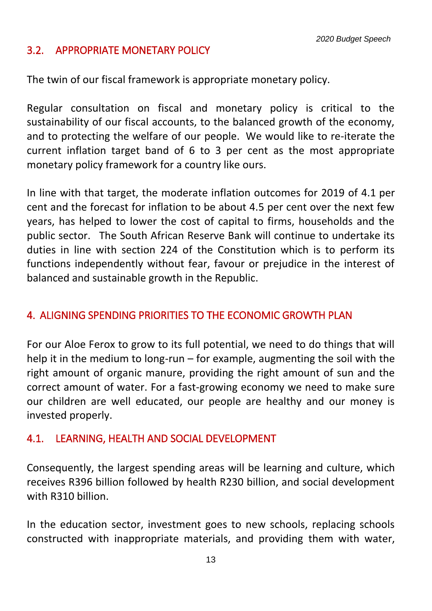*2020 Budget Speech*

#### 3.2. APPROPRIATE MONETARY POLICY

The twin of our fiscal framework is appropriate monetary policy.

Regular consultation on fiscal and monetary policy is critical to the sustainability of our fiscal accounts, to the balanced growth of the economy, and to protecting the welfare of our people. We would like to re-iterate the current inflation target band of 6 to 3 per cent as the most appropriate monetary policy framework for a country like ours.

In line with that target, the moderate inflation outcomes for 2019 of 4.1 per cent and the forecast for inflation to be about 4.5 per cent over the next few years, has helped to lower the cost of capital to firms, households and the public sector. The South African Reserve Bank will continue to undertake its duties in line with section 224 of the Constitution which is to perform its functions independently without fear, favour or prejudice in the interest of balanced and sustainable growth in the Republic.

#### 4. ALIGNING SPENDING PRIORITIES TO THE ECONOMIC GROWTH PLAN

For our Aloe Ferox to grow to its full potential, we need to do things that will help it in the medium to long-run – for example, augmenting the soil with the right amount of organic manure, providing the right amount of sun and the correct amount of water. For a fast-growing economy we need to make sure our children are well educated, our people are healthy and our money is invested properly.

#### 4.1. LEARNING, HEALTH AND SOCIAL DEVELOPMENT

Consequently, the largest spending areas will be learning and culture, which receives R396 billion followed by health R230 billion, and social development with R310 billion.

In the education sector, investment goes to new schools, replacing schools constructed with inappropriate materials, and providing them with water,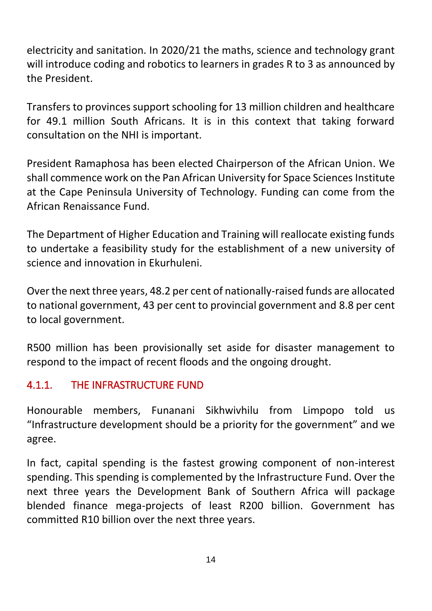electricity and sanitation. In 2020/21 the maths, science and technology grant will introduce coding and robotics to learners in grades R to 3 as announced by the President.

Transfers to provinces support schooling for 13 million children and healthcare for 49.1 million South Africans. It is in this context that taking forward consultation on the NHI is important.

President Ramaphosa has been elected Chairperson of the African Union. We shall commence work on the Pan African University for Space Sciences Institute at the Cape Peninsula University of Technology. Funding can come from the African Renaissance Fund.

The Department of Higher Education and Training will reallocate existing funds to undertake a feasibility study for the establishment of a new university of science and innovation in Ekurhuleni.

Over the next three years, 48.2 per cent of nationally-raised funds are allocated to national government, 43 per cent to provincial government and 8.8 per cent to local government.

R500 million has been provisionally set aside for disaster management to respond to the impact of recent floods and the ongoing drought.

# 4.1.1. THE INFRASTRUCTURE FUND

Honourable members, Funanani Sikhwivhilu from Limpopo told us "Infrastructure development should be a priority for the government" and we agree.

In fact, capital spending is the fastest growing component of non-interest spending. This spending is complemented by the Infrastructure Fund. Over the next three years the Development Bank of Southern Africa will package blended finance mega-projects of least R200 billion. Government has committed R10 billion over the next three years.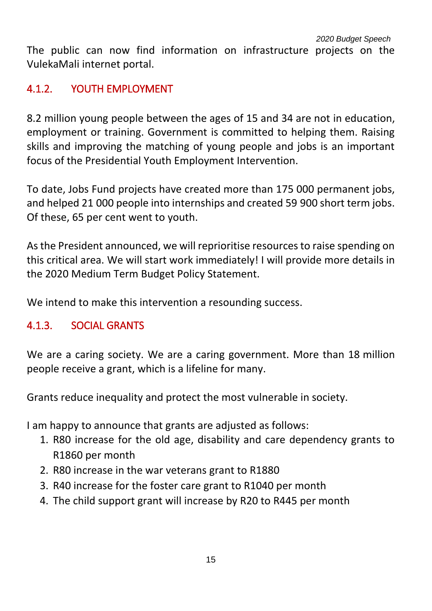The public can now find information on infrastructure projects on the VulekaMali internet portal.

# 4.1.2. YOUTH EMPLOYMENT

8.2 million young people between the ages of 15 and 34 are not in education, employment or training. Government is committed to helping them. Raising skills and improving the matching of young people and jobs is an important focus of the Presidential Youth Employment Intervention.

To date, Jobs Fund projects have created more than 175 000 permanent jobs, and helped 21 000 people into internships and created 59 900 short term jobs. Of these, 65 per cent went to youth.

As the President announced, we will reprioritise resources to raise spending on this critical area. We will start work immediately! I will provide more details in the 2020 Medium Term Budget Policy Statement.

We intend to make this intervention a resounding success.

# 4.1.3. SOCIAL GRANTS

We are a caring society. We are a caring government. More than 18 million people receive a grant, which is a lifeline for many.

Grants reduce inequality and protect the most vulnerable in society.

I am happy to announce that grants are adjusted as follows:

- 1. R80 increase for the old age, disability and care dependency grants to R1860 per month
- 2. R80 increase in the war veterans grant to R1880
- 3. R40 increase for the foster care grant to R1040 per month
- 4. The child support grant will increase by R20 to R445 per month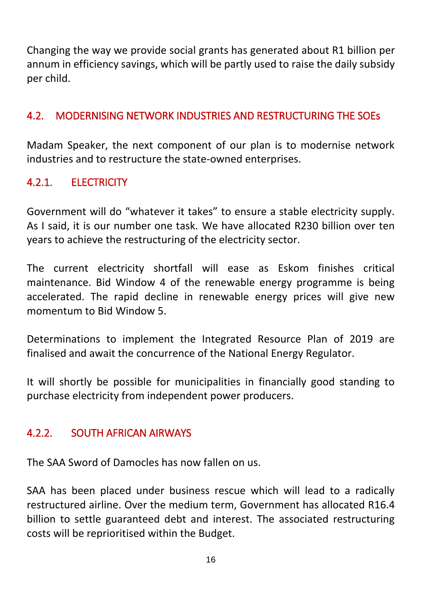Changing the way we provide social grants has generated about R1 billion per annum in efficiency savings, which will be partly used to raise the daily subsidy per child.

#### 4.2. MODERNISING NETWORK INDUSTRIES AND RESTRUCTURING THE SOEs

Madam Speaker, the next component of our plan is to modernise network industries and to restructure the state-owned enterprises.

# 4.2.1. ELECTRICITY

Government will do "whatever it takes" to ensure a stable electricity supply. As I said, it is our number one task. We have allocated R230 billion over ten years to achieve the restructuring of the electricity sector.

The current electricity shortfall will ease as Eskom finishes critical maintenance. Bid Window 4 of the renewable energy programme is being accelerated. The rapid decline in renewable energy prices will give new momentum to Bid Window 5.

Determinations to implement the Integrated Resource Plan of 2019 are finalised and await the concurrence of the National Energy Regulator.

It will shortly be possible for municipalities in financially good standing to purchase electricity from independent power producers.

#### 4.2.2. SOUTH AFRICAN AIRWAYS

The SAA Sword of Damocles has now fallen on us.

SAA has been placed under business rescue which will lead to a radically restructured airline. Over the medium term, Government has allocated R16.4 billion to settle guaranteed debt and interest. The associated restructuring costs will be reprioritised within the Budget.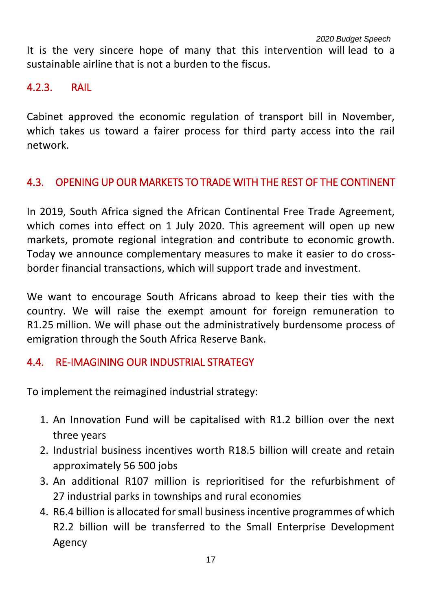It is the very sincere hope of many that this intervention will lead to a sustainable airline that is not a burden to the fiscus.

#### 4.2.3. RAIL

Cabinet approved the economic regulation of transport bill in November, which takes us toward a fairer process for third party access into the rail network.

#### 4.3. OPENING UP OUR MARKETS TO TRADE WITH THE REST OF THE CONTINENT

In 2019, South Africa signed the African Continental Free Trade Agreement, which comes into effect on 1 July 2020. This agreement will open up new markets, promote regional integration and contribute to economic growth. Today we announce complementary measures to make it easier to do crossborder financial transactions, which will support trade and investment.

We want to encourage South Africans abroad to keep their ties with the country. We will raise the exempt amount for foreign remuneration to R1.25 million. We will phase out the administratively burdensome process of emigration through the South Africa Reserve Bank.

#### 4.4. RE-IMAGINING OUR INDUSTRIAL STRATEGY

To implement the reimagined industrial strategy:

- 1. An Innovation Fund will be capitalised with R1.2 billion over the next three years
- 2. Industrial business incentives worth R18.5 billion will create and retain approximately 56 500 jobs
- 3. An additional R107 million is reprioritised for the refurbishment of 27 industrial parks in townships and rural economies
- 4. R6.4 billion is allocated for small business incentive programmes of which R2.2 billion will be transferred to the Small Enterprise Development Agency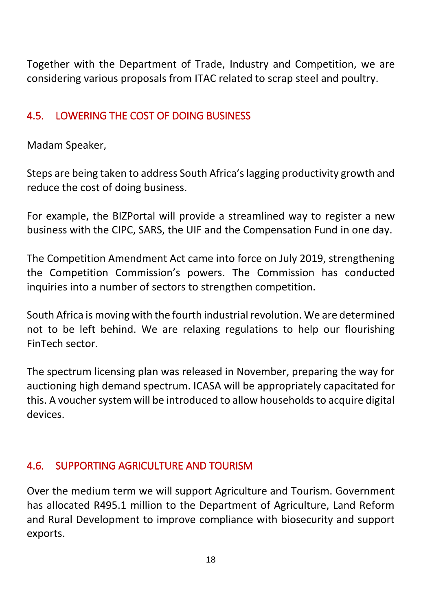Together with the Department of Trade, Industry and Competition, we are considering various proposals from ITAC related to scrap steel and poultry.

#### 4.5. LOWERING THE COST OF DOING BUSINESS

Madam Speaker,

Steps are being taken to address South Africa's lagging productivity growth and reduce the cost of doing business.

For example, the BIZPortal will provide a streamlined way to register a new business with the CIPC, SARS, the UIF and the Compensation Fund in one day.

The Competition Amendment Act came into force on July 2019, strengthening the Competition Commission's powers. The Commission has conducted inquiries into a number of sectors to strengthen competition.

South Africa is moving with the fourth industrial revolution. We are determined not to be left behind. We are relaxing regulations to help our flourishing FinTech sector.

The spectrum licensing plan was released in November, preparing the way for auctioning high demand spectrum. ICASA will be appropriately capacitated for this. A voucher system will be introduced to allow households to acquire digital devices.

#### 4.6. SUPPORTING AGRICULTURE AND TOURISM

Over the medium term we will support Agriculture and Tourism. Government has allocated R495.1 million to the Department of Agriculture, Land Reform and Rural Development to improve compliance with biosecurity and support exports.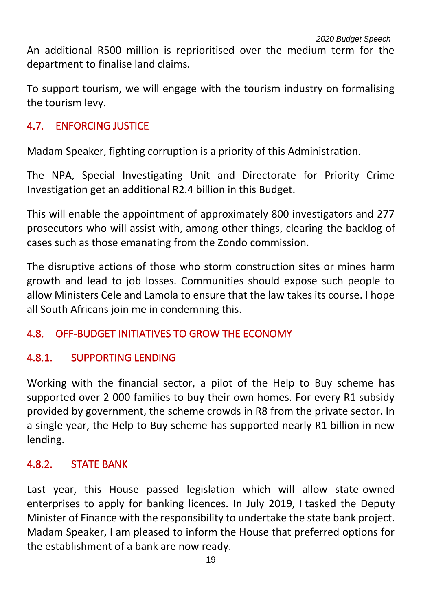An additional R500 million is reprioritised over the medium term for the department to finalise land claims.

To support tourism, we will engage with the tourism industry on formalising the tourism levy.

#### 4.7. ENFORCING JUSTICE

Madam Speaker, fighting corruption is a priority of this Administration.

The NPA, Special Investigating Unit and Directorate for Priority Crime Investigation get an additional R2.4 billion in this Budget.

This will enable the appointment of approximately 800 investigators and 277 prosecutors who will assist with, among other things, clearing the backlog of cases such as those emanating from the Zondo commission.

The disruptive actions of those who storm construction sites or mines harm growth and lead to job losses. Communities should expose such people to allow Ministers Cele and Lamola to ensure that the law takes its course. I hope all South Africans join me in condemning this.

# 4.8. OFF-BUDGET INITIATIVES TO GROW THE ECONOMY

#### 4.8.1. SUPPORTING LENDING

Working with the financial sector, a pilot of the Help to Buy scheme has supported over 2 000 families to buy their own homes. For every R1 subsidy provided by government, the scheme crowds in R8 from the private sector. In a single year, the Help to Buy scheme has supported nearly R1 billion in new lending.

# 4.8.2. STATE BANK

Last year, this House passed legislation which will allow state-owned enterprises to apply for banking licences. In July 2019, I tasked the Deputy Minister of Finance with the responsibility to undertake the state bank project. Madam Speaker, I am pleased to inform the House that preferred options for the establishment of a bank are now ready.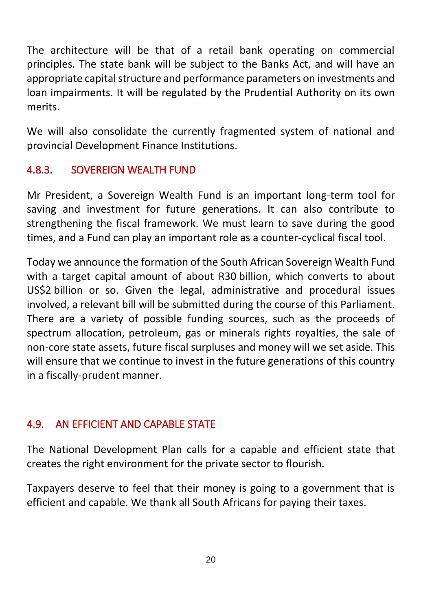The architecture will be that of a retail bank operating on commercial principles. The state bank will be subject to the Banks Act, and will have an appropriate capital structure and performance parameters on investments and loan impairments. It will be regulated by the Prudential Authority on its own merits.

We will also consolidate the currently fragmented system of national and provincial Development Finance Institutions.

# 4.8.3. SOVEREIGN WEALTH FUND

Mr President, a Sovereign Wealth Fund is an important long-term tool for saving and investment for future generations. It can also contribute to strengthening the fiscal framework. We must learn to save during the good times, and a Fund can play an important role as a counter-cyclical fiscal tool.

Today we announce the formation of the South African Sovereign Wealth Fund with a target capital amount of about R30 billion, which converts to about US\$2 billion or so. Given the legal, administrative and procedural issues involved, a relevant bill will be submitted during the course of this Parliament. There are a variety of possible funding sources, such as the proceeds of spectrum allocation, petroleum, gas or minerals rights royalties, the sale of non-core state assets, future fiscal surpluses and money will we set aside. This will ensure that we continue to invest in the future generations of this country in a fiscally-prudent manner.

#### 4.9. AN EFFICIENT AND CAPABLE STATE

The National Development Plan calls for a capable and efficient state that creates the right environment for the private sector to flourish.

Taxpayers deserve to feel that their money is going to a government that is efficient and capable. We thank all South Africans for paying their taxes.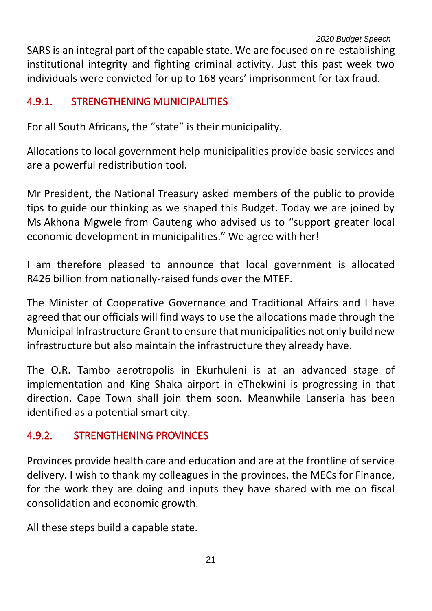SARS is an integral part of the capable state. We are focused on re-establishing institutional integrity and fighting criminal activity. Just this past week two individuals were convicted for up to 168 years' imprisonment for tax fraud.

#### 4.9.1. STRENGTHENING MUNICIPALITIES

For all South Africans, the "state" is their municipality.

Allocations to local government help municipalities provide basic services and are a powerful redistribution tool.

Mr President, the National Treasury asked members of the public to provide tips to guide our thinking as we shaped this Budget. Today we are joined by Ms Akhona Mgwele from Gauteng who advised us to "support greater local economic development in municipalities." We agree with her!

I am therefore pleased to announce that local government is allocated R426 billion from nationally-raised funds over the MTEF.

The Minister of Cooperative Governance and Traditional Affairs and I have agreed that our officials will find ways to use the allocations made through the Municipal Infrastructure Grant to ensure that municipalities not only build new infrastructure but also maintain the infrastructure they already have.

The O.R. Tambo aerotropolis in Ekurhuleni is at an advanced stage of implementation and King Shaka airport in eThekwini is progressing in that direction. Cape Town shall join them soon. Meanwhile Lanseria has been identified as a potential smart city.

# 4.9.2. STRENGTHENING PROVINCES

Provinces provide health care and education and are at the frontline of service delivery. I wish to thank my colleagues in the provinces, the MECs for Finance, for the work they are doing and inputs they have shared with me on fiscal consolidation and economic growth.

All these steps build a capable state.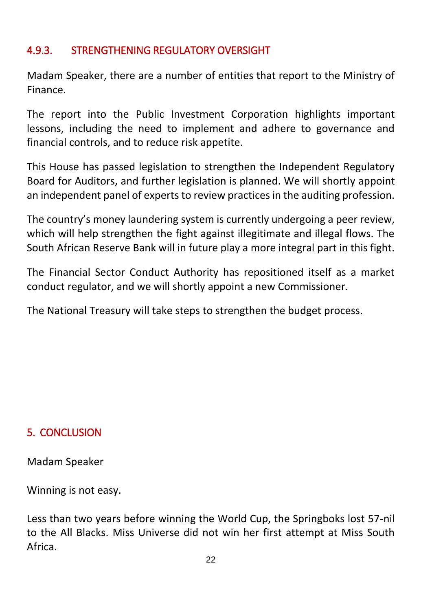# 4.9.3. STRENGTHENING REGULATORY OVERSIGHT

Madam Speaker, there are a number of entities that report to the Ministry of Finance.

The report into the Public Investment Corporation highlights important lessons, including the need to implement and adhere to governance and financial controls, and to reduce risk appetite.

This House has passed legislation to strengthen the Independent Regulatory Board for Auditors, and further legislation is planned. We will shortly appoint an independent panel of experts to review practices in the auditing profession.

The country's money laundering system is currently undergoing a peer review, which will help strengthen the fight against illegitimate and illegal flows. The South African Reserve Bank will in future play a more integral part in this fight.

The Financial Sector Conduct Authority has repositioned itself as a market conduct regulator, and we will shortly appoint a new Commissioner.

The National Treasury will take steps to strengthen the budget process.

#### 5. CONCLUSION

Madam Speaker

Winning is not easy.

Less than two years before winning the World Cup, the Springboks lost 57-nil to the All Blacks. Miss Universe did not win her first attempt at Miss South Africa.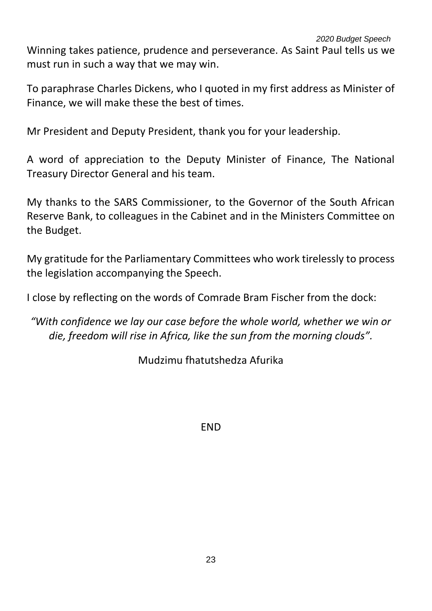*2020 Budget Speech* Winning takes patience, prudence and perseverance. As Saint Paul tells us we must run in such a way that we may win.

To paraphrase Charles Dickens, who I quoted in my first address as Minister of Finance, we will make these the best of times.

Mr President and Deputy President, thank you for your leadership.

A word of appreciation to the Deputy Minister of Finance, The National Treasury Director General and his team.

My thanks to the SARS Commissioner, to the Governor of the South African Reserve Bank, to colleagues in the Cabinet and in the Ministers Committee on the Budget.

My gratitude for the Parliamentary Committees who work tirelessly to process the legislation accompanying the Speech.

I close by reflecting on the words of Comrade Bram Fischer from the dock:

*"With confidence we lay our case before the whole world, whether we win or die, freedom will rise in Africa, like the sun from the morning clouds".*

Mudzimu fhatutshedza Afurika

**FND**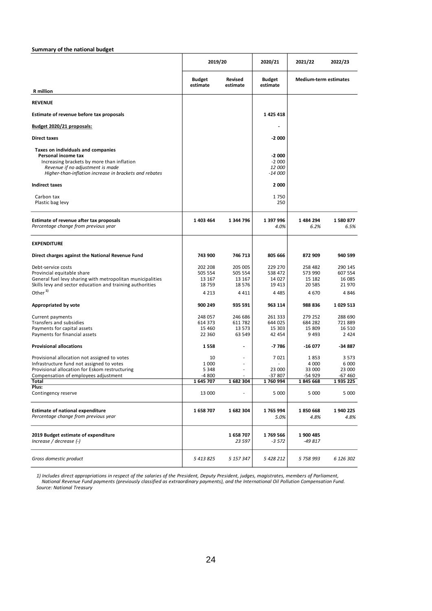|                                                                                                                                                                                                                                                                                                                       | 2019/20                   |                            | 2020/21                                  | 2021/22                      | 2022/23            |
|-----------------------------------------------------------------------------------------------------------------------------------------------------------------------------------------------------------------------------------------------------------------------------------------------------------------------|---------------------------|----------------------------|------------------------------------------|------------------------------|--------------------|
| <b>R</b> million                                                                                                                                                                                                                                                                                                      | <b>Budget</b><br>estimate | <b>Revised</b><br>estimate | <b>Budget</b><br>estimate                | <b>Medium-term estimates</b> |                    |
| <b>REVENUE</b>                                                                                                                                                                                                                                                                                                        |                           |                            |                                          |                              |                    |
| Estimate of revenue before tax proposals                                                                                                                                                                                                                                                                              |                           |                            | 1 425 418                                |                              |                    |
|                                                                                                                                                                                                                                                                                                                       |                           |                            |                                          |                              |                    |
| Budget 2020/21 proposals:                                                                                                                                                                                                                                                                                             |                           |                            |                                          |                              |                    |
| <b>Direct taxes</b>                                                                                                                                                                                                                                                                                                   |                           |                            | $-2000$                                  |                              |                    |
| Taxes on individuals and companies<br>Personal income tax<br>Increasing brackets by more than inflation<br>Revenue if no adjustment is made<br>Higher-than-inflation increase in brackets and rebates                                                                                                                 |                           |                            | $-2000$<br>$-2000$<br>12 000<br>$-14000$ |                              |                    |
| <b>Indirect taxes</b>                                                                                                                                                                                                                                                                                                 |                           |                            | 2000                                     |                              |                    |
| Carbon tax<br>Plastic bag levy                                                                                                                                                                                                                                                                                        |                           |                            | 1750<br>250                              |                              |                    |
| Estimate of revenue after tax proposals<br>Percentage change from previous year                                                                                                                                                                                                                                       | 1 403 464                 | 1 344 796                  | 1 397 996<br>4.0%                        | 1 484 294<br>6.2%            | 1580877<br>6.5%    |
| <b>EXPENDITURE</b>                                                                                                                                                                                                                                                                                                    |                           |                            |                                          |                              |                    |
| Direct charges against the National Revenue Fund                                                                                                                                                                                                                                                                      | 743 900                   | 746 713                    | 805 666                                  | 872 909                      | 940 599            |
| Debt-service costs<br>Provincial equitable share                                                                                                                                                                                                                                                                      | 202 208<br>505 554        | 205 005<br>505 554         | 229 270<br>538 472                       | 258 482<br>573 990           | 290 145<br>607 554 |
| General fuel levy sharing with metropolitan municipalities                                                                                                                                                                                                                                                            | 13 167                    | 13 167                     | 14 0 27                                  | 15 182                       | 16 085             |
| Skills levy and sector education and training authorities<br>Other <sup>1)</sup>                                                                                                                                                                                                                                      | 18759<br>4 2 1 3          | 18 576<br>4 4 1 1          | 19 4 13<br>4 4 8 5                       | 20 585<br>4670               | 21 970<br>4846     |
|                                                                                                                                                                                                                                                                                                                       |                           |                            |                                          |                              |                    |
| <b>Appropriated by vote</b>                                                                                                                                                                                                                                                                                           | 900 249                   | 935 591                    | 963 114                                  | 988 836                      | 1 029 513          |
| Current payments<br>Transfers and subsidies                                                                                                                                                                                                                                                                           | 248 057<br>614 373        | 246 686<br>611 782         | 261 333<br>644 025                       | 279 252<br>684 282           | 288 690<br>721889  |
| Payments for capital assets                                                                                                                                                                                                                                                                                           | 15 4 60                   | 13 573                     | 15 303                                   | 15 809                       | 16 5 10            |
| Payments for financial assets                                                                                                                                                                                                                                                                                         | 22 3 60                   | 63 549                     | 42 454                                   | 9493                         | 2 4 2 4            |
| <b>Provisional allocations</b>                                                                                                                                                                                                                                                                                        | 1558                      | $\overline{a}$             | -7786                                    | -16 077                      | $-34887$           |
| Provisional allocation not assigned to votes                                                                                                                                                                                                                                                                          | 10                        |                            | 7021                                     | 1853                         | 3 5 7 3            |
| Infrastructure fund not assigned to votes<br>Provisional allocation for Eskom restructuring                                                                                                                                                                                                                           | 1 000<br>5 3 4 8          | ۰<br>٠                     | 23 000                                   | 4 0 0 0<br>33 000            | 6 000<br>23 000    |
| Compensation of employees adjustment                                                                                                                                                                                                                                                                                  | -4 800                    | $\overline{\phantom{a}}$   | -37 807                                  | -54 929                      | -67 460            |
| Total<br>Plus:                                                                                                                                                                                                                                                                                                        | 1645707                   | 1682 304                   | 1760 994                                 | 1845 668                     | 1935 225           |
| Contingency reserve                                                                                                                                                                                                                                                                                                   | 13 000                    |                            | 5 0 0 0                                  | 5 0 0 0                      | 5 0 0 0            |
| <b>Estimate of national expenditure</b><br>Percentage change from previous year                                                                                                                                                                                                                                       | 1658707                   | 1682 304                   | 1765994<br>5.0%                          | 1850 668<br>4.8%             | 1940 225<br>4.8%   |
| 2019 Budget estimate of expenditure<br>Increase / decrease (-)                                                                                                                                                                                                                                                        |                           | 1658707<br>23 597          | 1769 566<br>$-3572$                      | 1 900 485<br>-49 817         |                    |
| Gross domestic product                                                                                                                                                                                                                                                                                                | 5 413 825                 | 5 157 347                  | 5 428 212                                | 5 758 993                    | 6 126 302          |
| 1) Includes direct appropriations in respect of the salaries of the President, Deputy President, judges, magistrates, members of Parliament,<br>National Revenue Fund payments (previously classified as extraordinary payments), and the International Oil Pollution Compensation Fund.<br>Source: National Treasury |                           |                            |                                          |                              |                    |
|                                                                                                                                                                                                                                                                                                                       | 24                        |                            |                                          |                              |                    |
|                                                                                                                                                                                                                                                                                                                       |                           |                            |                                          |                              |                    |